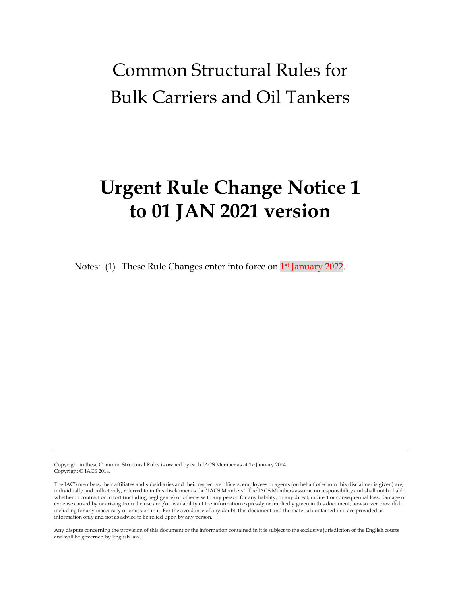# Common Structural Rules for Bulk Carriers and Oil Tankers

# **Urgent Rule Change Notice 1 to 01 JAN 2021 version**

Notes: (1) These Rule Changes enter into force on 1<sup>st</sup> January 2022.

Copyright in these Common Structural Rules is owned by each IACS Member as at 1st January 2014. Copyright © IACS 2014.

Any dispute concerning the provision of this document or the information contained in it is subject to the exclusive jurisdiction of the English courts and will be governed by English law.

The IACS members, their affiliates and subsidiaries and their respective officers, employees or agents (on behalf of whom this disclaimer is given) are, individually and collectively, referred to in this disclaimer as the "IACS Members". The IACS Members assume no responsibility and shall not be liable whether in contract or in tort (including negligence) or otherwise to any person for any liability, or any direct, indirect or consequential loss, damage or expense caused by or arising from the use and/or availability of the information expressly or impliedly given in this document, howsoever provided, including for any inaccuracy or omission in it. For the avoidance of any doubt, this document and the material contained in it are provided as information only and not as advice to be relied upon by any person.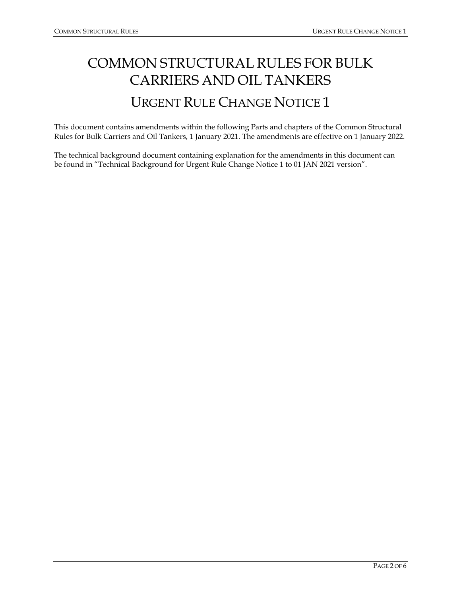# COMMON STRUCTURAL RULES FOR BULK CARRIERS AND OIL TANKERS URGENT RULE CHANGE NOTICE 1

This document contains amendments within the following Parts and chapters of the Common Structural Rules for Bulk Carriers and Oil Tankers, 1 January 2021. The amendments are effective on 1 January 2022.

The technical background document containing explanation for the amendments in this document can be found in "Technical Background for Urgent Rule Change Notice 1 to 01 JAN 2021 version".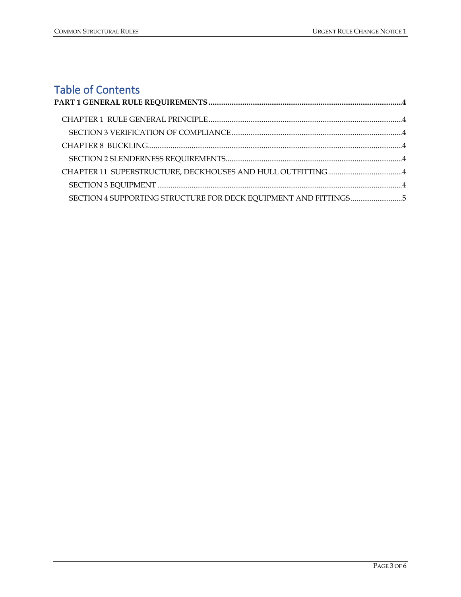# Table of Contents

| SECTION 4 SUPPORTING STRUCTURE FOR DECK EQUIPMENT AND FITTINGS 5 |  |
|------------------------------------------------------------------|--|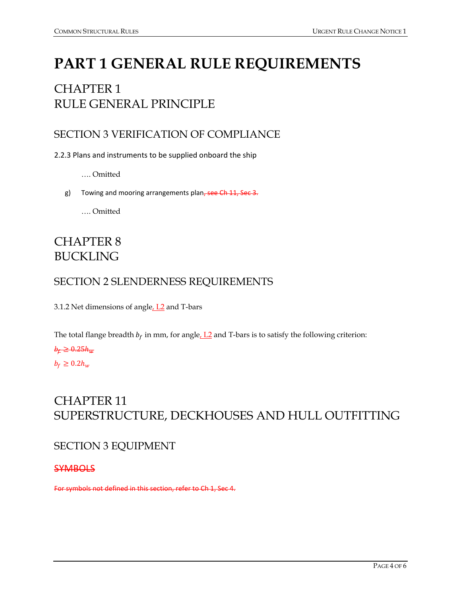# <span id="page-3-0"></span>**PART 1 GENERAL RULE REQUIREMENTS**

# <span id="page-3-1"></span>CHAPTER 1 RULE GENERAL PRINCIPLE

## <span id="page-3-2"></span>SECTION 3 VERIFICATION OF COMPLIANCE

2.2.3 Plans and instruments to be supplied onboard the ship

- …. Omitted
- g) Towing and mooring arrangements plan, see Ch 11, Sec 3.

…. Omitted

## <span id="page-3-3"></span>CHAPTER 8 BUCKLING

### <span id="page-3-4"></span>SECTION 2 SLENDERNESS REQUIREMENTS

3.1.2 Net dimensions of angle, L<sub>2</sub> and T-bars

The total flange breadth  $b_f$  in mm, for angle,  $L2$  and T-bars is to satisfy the following criterion:

#### $b_{\rm t} \geq 0.25 h_{\rm m}$

 $b_f \geq 0.2h_w$ 

## <span id="page-3-5"></span>CHAPTER 11 SUPERSTRUCTURE, DECKHOUSES AND HULL OUTFITTING

#### <span id="page-3-6"></span>SECTION 3 EQUIPMENT

**SYMBOLS** 

For symbols not defined in this section, refer to Ch 1, Sec 4.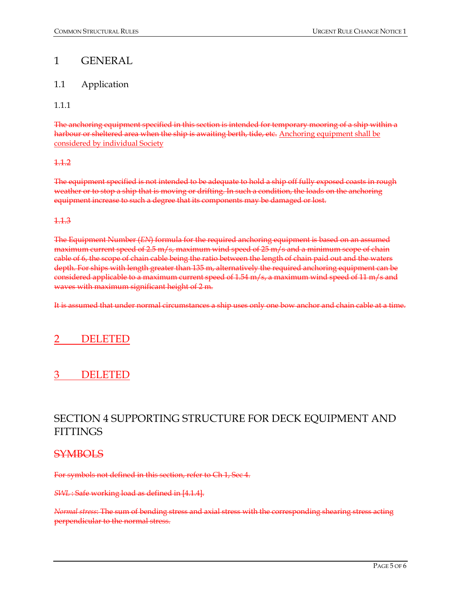### 1 GENERAL

#### 1.1 Application

1.1.1

The anchoring equipment specified in this section is intended for temporary mooring of a ship within a harbour or sheltered area when the ship is awaiting berth, tide, etc. Anchoring equipment shall be considered by individual Society

#### 1.1.2

The equipment specified is not intended to be adequate to hold a ship off fully exposed coasts in rough weather or to stop a ship that is moving or drifting. In such a condition, the loads on the anchoring equipment increase to such a degree that its components may be damaged or lost.

#### 1.1.3

The Equipment Number (*EN*) formula for the required anchoring equipment is based on an assumed maximum current speed of 2.5 m/s, maximum wind speed of 25 m/s and a minimum scope of chain cable of 6, the scope of chain cable being the ratio between the length of chain paid out and the waters depth. For ships with length greater than 135 m, alternatively the required anchoring equipment can be considered applicable to a maximum current speed of 1.54 m/s, a maximum wind speed of 11 m/s and waves with maximum significant height of 2 m.

It is assumed that under normal circumstances a ship uses only one bow anchor and chain cable at a time.

## **DELETED**

## 3 DELETED

## <span id="page-4-0"></span>SECTION 4 SUPPORTING STRUCTURE FOR DECK EQUIPMENT AND **FITTINGS**

#### **SYMBOLS**

For symbols not defined in this section, refer to Ch 1, Sec 4.

*SWL* : Safe working load as defined in [4.1.4].

*Normal stress*: The sum of bending stress and axial stress with the corresponding shearing stress acting perpendicular to the normal stress.